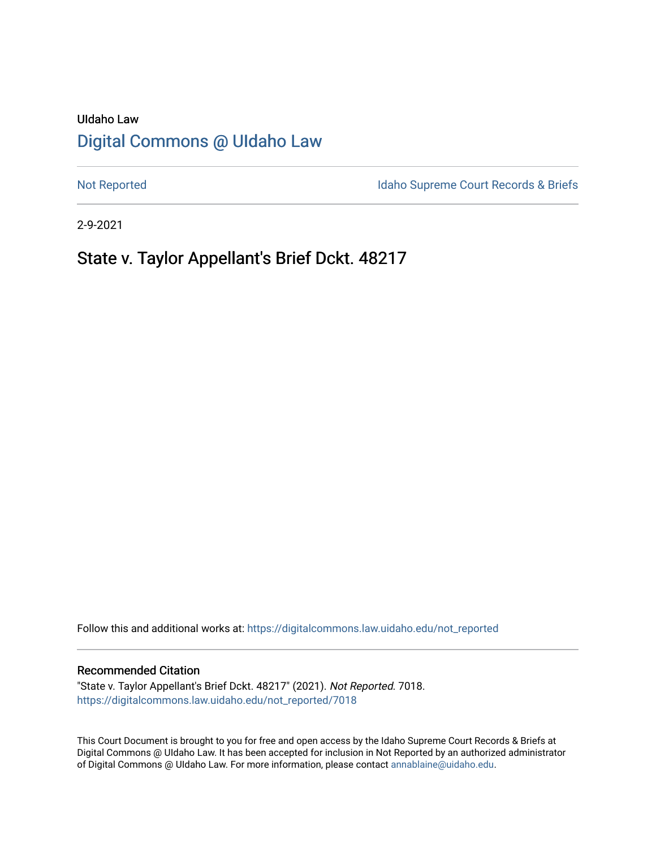# UIdaho Law [Digital Commons @ UIdaho Law](https://digitalcommons.law.uidaho.edu/)

[Not Reported](https://digitalcommons.law.uidaho.edu/not_reported) **Idaho Supreme Court Records & Briefs** 

2-9-2021

# State v. Taylor Appellant's Brief Dckt. 48217

Follow this and additional works at: [https://digitalcommons.law.uidaho.edu/not\\_reported](https://digitalcommons.law.uidaho.edu/not_reported?utm_source=digitalcommons.law.uidaho.edu%2Fnot_reported%2F7018&utm_medium=PDF&utm_campaign=PDFCoverPages) 

#### Recommended Citation

"State v. Taylor Appellant's Brief Dckt. 48217" (2021). Not Reported. 7018. [https://digitalcommons.law.uidaho.edu/not\\_reported/7018](https://digitalcommons.law.uidaho.edu/not_reported/7018?utm_source=digitalcommons.law.uidaho.edu%2Fnot_reported%2F7018&utm_medium=PDF&utm_campaign=PDFCoverPages)

This Court Document is brought to you for free and open access by the Idaho Supreme Court Records & Briefs at Digital Commons @ UIdaho Law. It has been accepted for inclusion in Not Reported by an authorized administrator of Digital Commons @ UIdaho Law. For more information, please contact [annablaine@uidaho.edu](mailto:annablaine@uidaho.edu).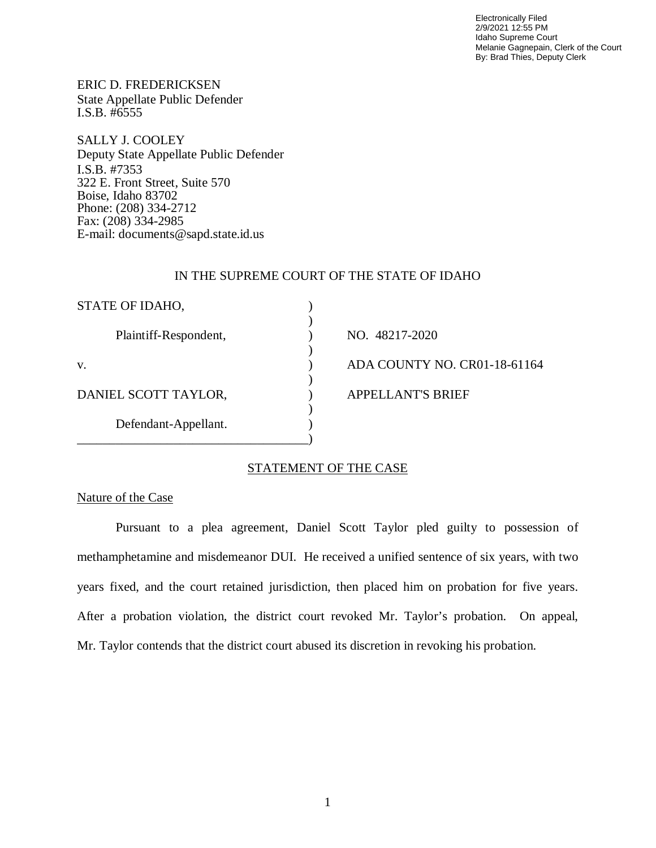Electronically Filed 2/9/2021 12:55 PM Idaho Supreme Court Melanie Gagnepain, Clerk of the Court By: Brad Thies, Deputy Clerk

ERIC D. FREDERICKSEN State Appellate Public Defender I.S.B. #6555

SALLY J. COOLEY Deputy State Appellate Public Defender I.S.B. #7353 322 E. Front Street, Suite 570 Boise, Idaho 83702 Phone: (208) 334-2712 Fax: (208) 334-2985 E-mail: documents@sapd.state.id.us

#### IN THE SUPREME COURT OF THE STATE OF IDAHO

| STATE OF IDAHO,       |                              |
|-----------------------|------------------------------|
| Plaintiff-Respondent, | NO. 48217-2020               |
| V.                    | ADA COUNTY NO. CR01-18-61164 |
| DANIEL SCOTT TAYLOR,  | <b>APPELLANT'S BRIEF</b>     |
| Defendant-Appellant.  |                              |
|                       |                              |

### STATEMENT OF THE CASE

### Nature of the Case

Pursuant to a plea agreement, Daniel Scott Taylor pled guilty to possession of methamphetamine and misdemeanor DUI. He received a unified sentence of six years, with two years fixed, and the court retained jurisdiction, then placed him on probation for five years. After a probation violation, the district court revoked Mr. Taylor's probation. On appeal, Mr. Taylor contends that the district court abused its discretion in revoking his probation.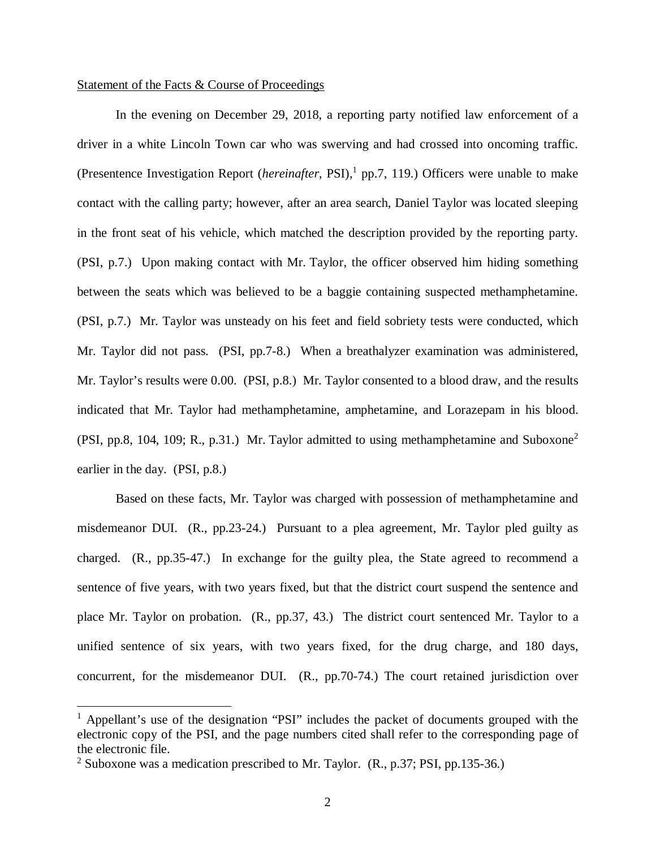#### Statement of the Facts & Course of Proceedings

In the evening on December 29, 2018, a reporting party notified law enforcement of a driver in a white Lincoln Town car who was swerving and had crossed into oncoming traffic. (Presentence Investigation Report (*hereinafter*, PSI),<sup>1</sup> [p](#page-2-0)p.7, 119.) Officers were unable to make contact with the calling party; however, after an area search, Daniel Taylor was located sleeping in the front seat of his vehicle, which matched the description provided by the reporting party. (PSI, p.7.) Upon making contact with Mr. Taylor, the officer observed him hiding something between the seats which was believed to be a baggie containing suspected methamphetamine. (PSI, p.7.) Mr. Taylor was unsteady on his feet and field sobriety tests were conducted, which Mr. Taylor did not pass. (PSI, pp.7-8.) When a breathalyzer examination was administered, Mr. Taylor's results were 0.00. (PSI, p.8.) Mr. Taylor consented to a blood draw, and the results indicated that Mr. Taylor had methamphetamine, amphetamine, and Lorazepam in his blood. (PSI, pp.8, 104, 109; R., p.31.) Mr. Taylor admitted to using methamphetamine and Suboxone[2](#page-2-1) earlier in the day. (PSI, p.8.)

Based on these facts, Mr. Taylor was charged with possession of methamphetamine and misdemeanor DUI. (R., pp.23-24.) Pursuant to a plea agreement, Mr. Taylor pled guilty as charged. (R., pp.35-47.) In exchange for the guilty plea, the State agreed to recommend a sentence of five years, with two years fixed, but that the district court suspend the sentence and place Mr. Taylor on probation. (R., pp.37, 43.) The district court sentenced Mr. Taylor to a unified sentence of six years, with two years fixed, for the drug charge, and 180 days, concurrent, for the misdemeanor DUI. (R., pp.70-74.) The court retained jurisdiction over

<span id="page-2-0"></span><sup>&</sup>lt;sup>1</sup> Appellant's use of the designation "PSI" includes the packet of documents grouped with the electronic copy of the PSI, and the page numbers cited shall refer to the corresponding page of the electronic file.

<span id="page-2-1"></span><sup>&</sup>lt;sup>2</sup> Suboxone was a medication prescribed to Mr. Taylor.  $(R., p.37; PSI, pp.135-36.)$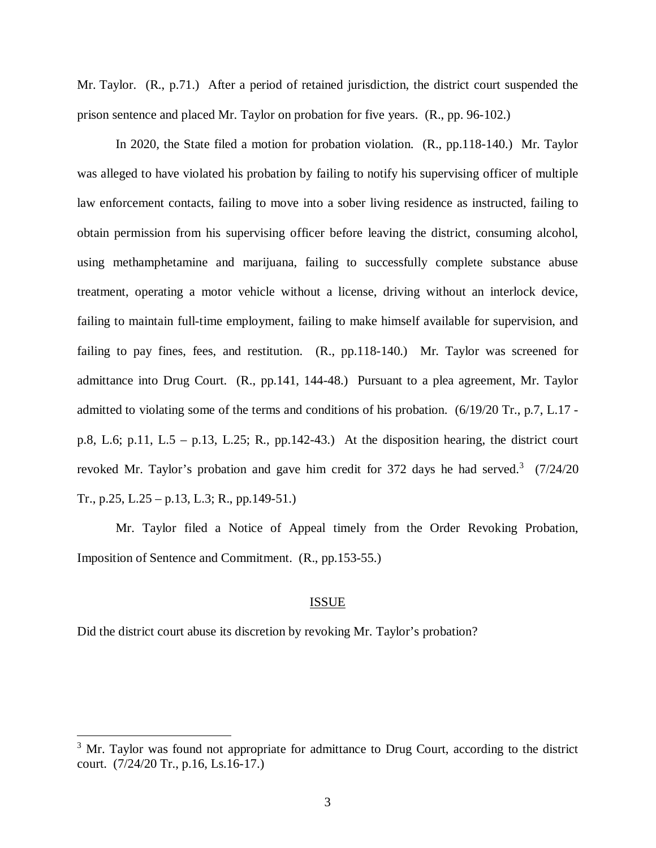Mr. Taylor. (R., p.71.) After a period of retained jurisdiction, the district court suspended the prison sentence and placed Mr. Taylor on probation for five years. (R., pp. 96-102.)

In 2020, the State filed a motion for probation violation. (R., pp.118-140.) Mr. Taylor was alleged to have violated his probation by failing to notify his supervising officer of multiple law enforcement contacts, failing to move into a sober living residence as instructed, failing to obtain permission from his supervising officer before leaving the district, consuming alcohol, using methamphetamine and marijuana, failing to successfully complete substance abuse treatment, operating a motor vehicle without a license, driving without an interlock device, failing to maintain full-time employment, failing to make himself available for supervision, and failing to pay fines, fees, and restitution. (R., pp.118-140.) Mr. Taylor was screened for admittance into Drug Court. (R., pp.141, 144-48.) Pursuant to a plea agreement, Mr. Taylor admitted to violating some of the terms and conditions of his probation. (6/19/20 Tr., p.7, L.17 p.8, L.6; p.11, L.5 – p.13, L.25; R., pp.142-43.) At the disposition hearing, the district court revoked Mr. Taylor's probation and gave him credit for [3](#page-3-0)72 days he had served.<sup>3</sup> (7/24/20 Tr., p.25, L.25 – p.13, L.3; R., pp.149-51.)

Mr. Taylor filed a Notice of Appeal timely from the Order Revoking Probation, Imposition of Sentence and Commitment. (R., pp.153-55.)

### ISSUE

Did the district court abuse its discretion by revoking Mr. Taylor's probation?

<span id="page-3-0"></span><sup>&</sup>lt;sup>3</sup> Mr. Taylor was found not appropriate for admittance to Drug Court, according to the district court. (7/24/20 Tr., p.16, Ls.16-17.)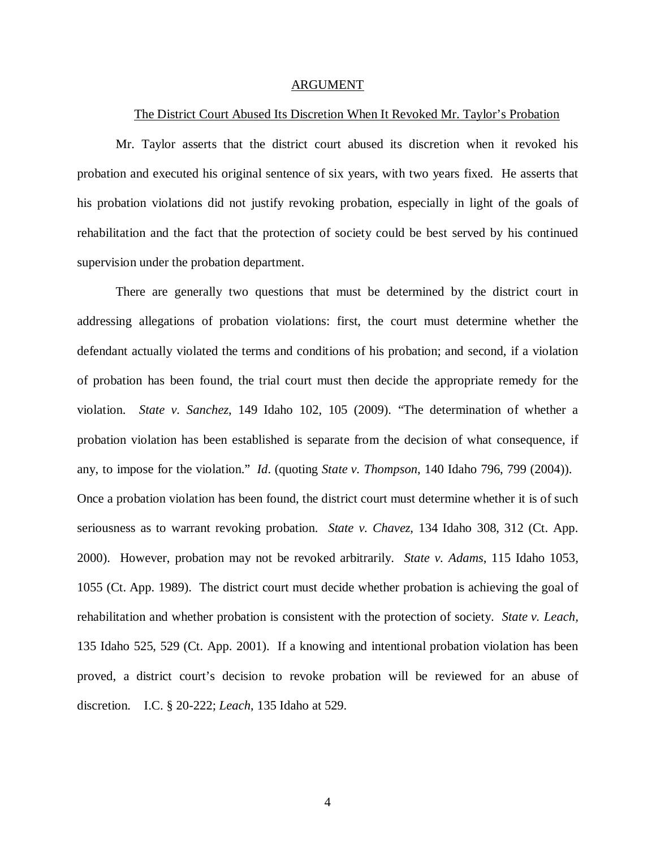#### ARGUMENT

#### The District Court Abused Its Discretion When It Revoked Mr. Taylor's Probation

Mr. Taylor asserts that the district court abused its discretion when it revoked his probation and executed his original sentence of six years, with two years fixed. He asserts that his probation violations did not justify revoking probation, especially in light of the goals of rehabilitation and the fact that the protection of society could be best served by his continued supervision under the probation department.

There are generally two questions that must be determined by the district court in addressing allegations of probation violations: first, the court must determine whether the defendant actually violated the terms and conditions of his probation; and second, if a violation of probation has been found, the trial court must then decide the appropriate remedy for the violation. *State v. Sanchez*, 149 Idaho 102, 105 (2009). "The determination of whether a probation violation has been established is separate from the decision of what consequence, if any, to impose for the violation." *Id*. (quoting *State v. Thompson*, 140 Idaho 796, 799 (2004)). Once a probation violation has been found, the district court must determine whether it is of such seriousness as to warrant revoking probation. *State v. Chavez*, 134 Idaho 308, 312 (Ct. App. 2000). However, probation may not be revoked arbitrarily. *State v. Adams*, 115 Idaho 1053, 1055 (Ct. App. 1989). The district court must decide whether probation is achieving the goal of rehabilitation and whether probation is consistent with the protection of society. *State v. Leach,* 135 Idaho 525, 529 (Ct. App. 2001). If a knowing and intentional probation violation has been proved, a district court's decision to revoke probation will be reviewed for an abuse of discretion. I.C. § 20-222; *Leach*, 135 Idaho at 529.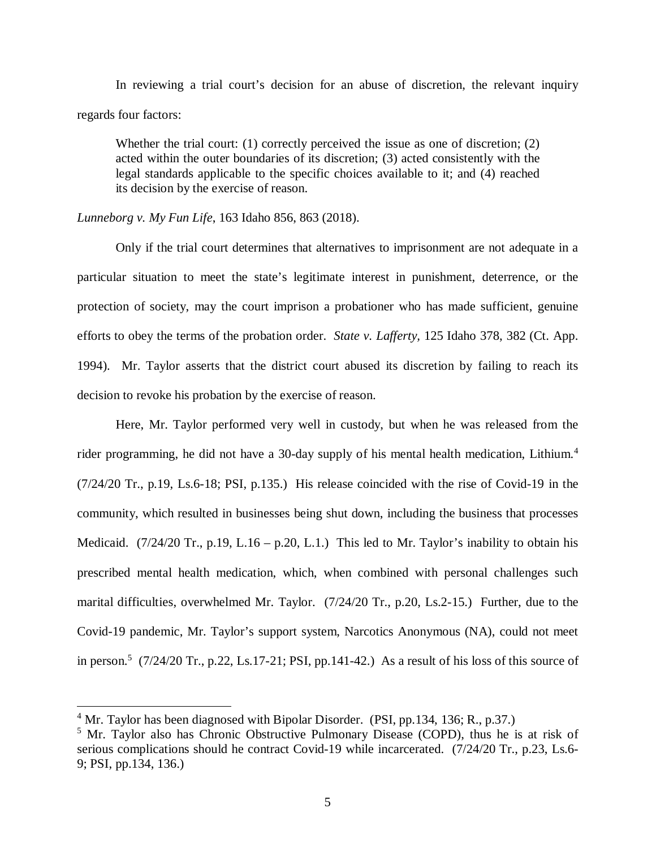In reviewing a trial court's decision for an abuse of discretion, the relevant inquiry regards four factors:

Whether the trial court: (1) correctly perceived the issue as one of discretion; (2) acted within the outer boundaries of its discretion; (3) acted consistently with the legal standards applicable to the specific choices available to it; and (4) reached its decision by the exercise of reason.

#### *Lunneborg v. My Fun Life*, 163 Idaho 856, 863 (2018).

Only if the trial court determines that alternatives to imprisonment are not adequate in a particular situation to meet the state's legitimate interest in punishment, deterrence, or the protection of society, may the court imprison a probationer who has made sufficient, genuine efforts to obey the terms of the probation order. *State v. Lafferty,* 125 Idaho 378, 382 (Ct. App. 1994)*.* Mr. Taylor asserts that the district court abused its discretion by failing to reach its decision to revoke his probation by the exercise of reason.

Here, Mr. Taylor performed very well in custody, but when he was released from the rider programming, he did not have a 30-day supply of his mental health medication, Lithium.<sup>[4](#page-5-0)</sup> (7/24/20 Tr., p.19, Ls.6-18; PSI, p.135.) His release coincided with the rise of Covid-19 in the community, which resulted in businesses being shut down, including the business that processes Medicaid.  $(7/24/20 \text{ Tr.}, p.19, L.16 - p.20, L.1.)$  This led to Mr. Taylor's inability to obtain his prescribed mental health medication, which, when combined with personal challenges such marital difficulties, overwhelmed Mr. Taylor. (7/24/20 Tr., p.20, Ls.2-15.) Further, due to the Covid-19 pandemic, Mr. Taylor's support system, Narcotics Anonymous (NA), could not meet in person.<sup>[5](#page-5-1)</sup> (7/24/20 Tr., p.22, Ls.17-21; PSI, pp.141-42.) As a result of his loss of this source of

<span id="page-5-0"></span> $4$  Mr. Taylor has been diagnosed with Bipolar Disorder. (PSI, pp. 134, 136; R., p. 37.)

<span id="page-5-1"></span><sup>&</sup>lt;sup>5</sup> Mr. Taylor also has Chronic Obstructive Pulmonary Disease (COPD), thus he is at risk of serious complications should he contract Covid-19 while incarcerated. (7/24/20 Tr., p.23, Ls.6-9; PSI, pp.134, 136.)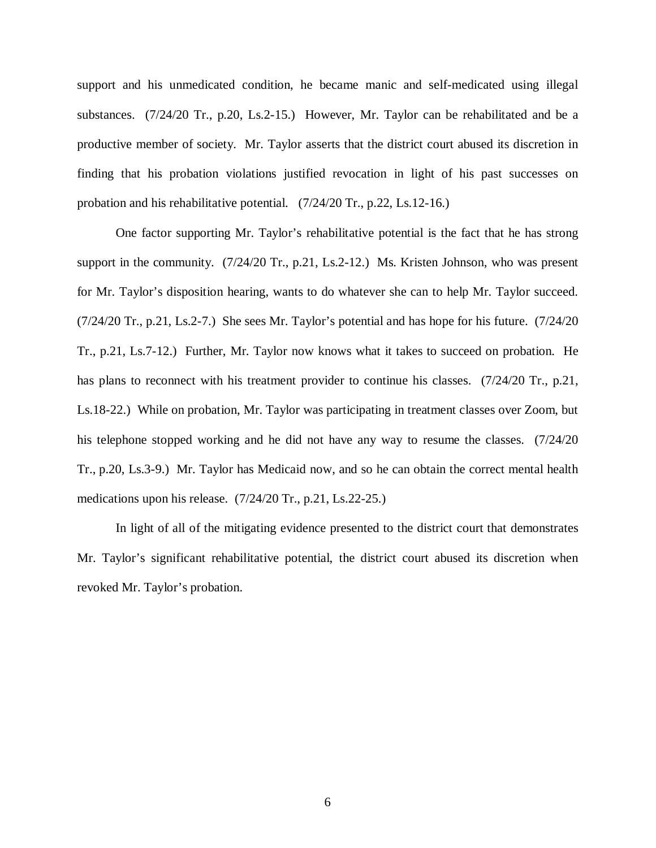support and his unmedicated condition, he became manic and self-medicated using illegal substances. (7/24/20 Tr., p.20, Ls.2-15.) However, Mr. Taylor can be rehabilitated and be a productive member of society. Mr. Taylor asserts that the district court abused its discretion in finding that his probation violations justified revocation in light of his past successes on probation and his rehabilitative potential. (7/24/20 Tr., p.22, Ls.12-16.)

One factor supporting Mr. Taylor's rehabilitative potential is the fact that he has strong support in the community. (7/24/20 Tr., p.21, Ls.2-12.) Ms. Kristen Johnson, who was present for Mr. Taylor's disposition hearing, wants to do whatever she can to help Mr. Taylor succeed. (7/24/20 Tr., p.21, Ls.2-7.) She sees Mr. Taylor's potential and has hope for his future. (7/24/20 Tr., p.21, Ls.7-12.) Further, Mr. Taylor now knows what it takes to succeed on probation. He has plans to reconnect with his treatment provider to continue his classes. (7/24/20 Tr., p.21, Ls.18-22.) While on probation, Mr. Taylor was participating in treatment classes over Zoom, but his telephone stopped working and he did not have any way to resume the classes. (7/24/20) Tr., p.20, Ls.3-9.) Mr. Taylor has Medicaid now, and so he can obtain the correct mental health medications upon his release. (7/24/20 Tr., p.21, Ls.22-25.)

In light of all of the mitigating evidence presented to the district court that demonstrates Mr. Taylor's significant rehabilitative potential, the district court abused its discretion when revoked Mr. Taylor's probation.